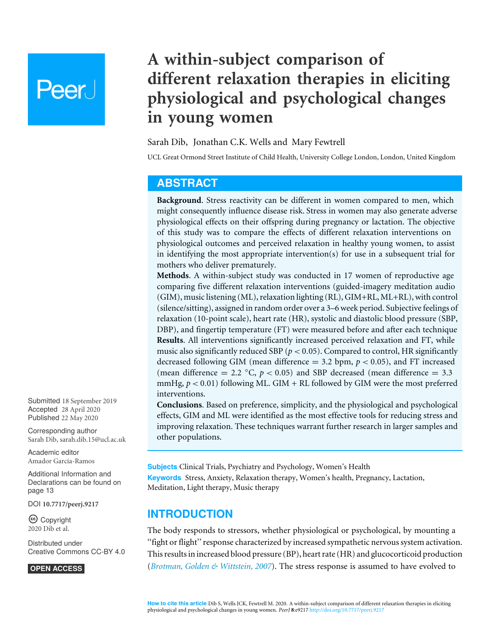# **Peer**

# **A within-subject comparison of different relaxation therapies in eliciting physiological and psychological changes in young women**

#### <span id="page-0-1"></span><span id="page-0-0"></span>Sarah Dib, Jonathan C.K. Wells and Mary Fewtrell

UCL Great Ormond Street Institute of Child Health, University College London, London, United Kingdom

# <span id="page-0-2"></span>**ABSTRACT**

**Background**. Stress reactivity can be different in women compared to men, which might consequently influence disease risk. Stress in women may also generate adverse physiological effects on their offspring during pregnancy or lactation. The objective of this study was to compare the effects of different relaxation interventions on physiological outcomes and perceived relaxation in healthy young women, to assist in identifying the most appropriate intervention(s) for use in a subsequent trial for mothers who deliver prematurely.

**Methods**. A within-subject study was conducted in 17 women of reproductive age comparing five different relaxation interventions (guided-imagery meditation audio (GIM), music listening (ML), relaxation lighting (RL), GIM+RL, ML+RL), with control (silence/sitting), assigned in random order over a 3–6 week period. Subjective feelings of relaxation (10-point scale), heart rate (HR), systolic and diastolic blood pressure (SBP, DBP), and fingertip temperature (FT) were measured before and after each technique **Results**. All interventions significantly increased perceived relaxation and FT, while music also significantly reduced SBP ( $p < 0.05$ ). Compared to control, HR significantly decreased following GIM (mean difference  $= 3.2$  bpm,  $p < 0.05$ ), and FT increased (mean difference = 2.2  $\degree$ C,  $p < 0.05$ ) and SBP decreased (mean difference = 3.3 mmHg,  $p < 0.01$ ) following ML. GIM + RL followed by GIM were the most preferred interventions.

**Conclusions**. Based on preference, simplicity, and the physiological and psychological effects, GIM and ML were identified as the most effective tools for reducing stress and improving relaxation. These techniques warrant further research in larger samples and other populations.

**Subjects** Clinical Trials, Psychiatry and Psychology, Women's Health **Keywords** Stress, Anxiety, Relaxation therapy, Women's health, Pregnancy, Lactation, Meditation, Light therapy, Music therapy

# **INTRODUCTION**

The body responds to stressors, whether physiological or psychological, by mounting a ''fight or flight'' response characterized by increased sympathetic nervous system activation. This results in increased blood pressure (BP), heart rate (HR) and glucocorticoid production (*[Brotman, Golden & Wittstein, 2007](#page-13-0)*). The stress response is assumed to have evolved to

Submitted 18 September 2019 Accepted 28 April 2020 Published 22 May 2020

Corresponding author Sarah Dib, [sarah.dib.15@ucl.ac.uk](mailto:sarah.dib.15@ucl.ac.uk)

[Academic editor](https://peerj.com/academic-boards/editors/) [Amador García-Ramos](https://peerj.com/academic-boards/editors/)

[Additional Information and](#page-12-0) [Declarations can be found on](#page-12-0) [page 13](#page-12-0)

DOI **[10.7717/peerj.9217](http://dx.doi.org/10.7717/peerj.9217)**

Ccopyright 2020 Dib et al.

[Distributed under](http://creativecommons.org/licenses/by/4.0/) [Creative Commons CC-BY 4.0](http://creativecommons.org/licenses/by/4.0/)

#### **OPEN ACCESS**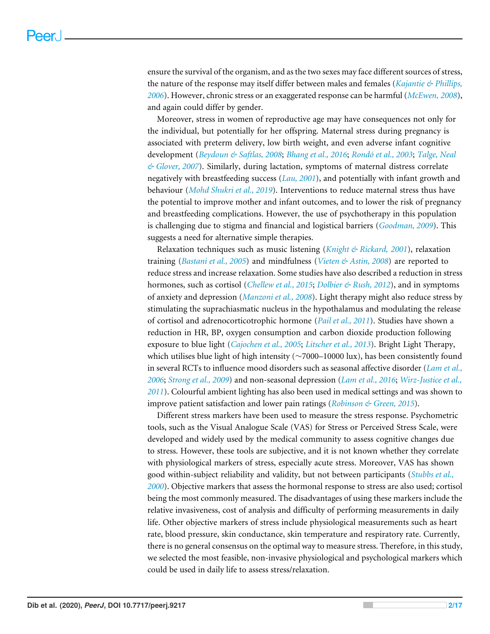ensure the survival of the organism, and as the two sexes may face different sources of stress, the nature of the response may itself differ between males and females (*[Kajantie & Phillips,](#page-14-0) [2006](#page-14-0)*). However, chronic stress or an exaggerated response can be harmful (*[McEwen, 2008](#page-15-0)*), and again could differ by gender.

Moreover, stress in women of reproductive age may have consequences not only for the individual, but potentially for her offspring. Maternal stress during pregnancy is associated with preterm delivery, low birth weight, and even adverse infant cognitive development (*[Beydoun & Saftlas, 2008](#page-13-1)*; *[Bhang et al., 2016](#page-13-2)*; *[Rondó et al., 2003](#page-15-1)*; *[Talge, Neal](#page-16-0) [& Glover, 2007](#page-16-0)*). Similarly, during lactation, symptoms of maternal distress correlate negatively with breastfeeding success (*[Lau, 2001](#page-14-1)*), and potentially with infant growth and behaviour (*[Mohd Shukri et al., 2019](#page-15-2)*). Interventions to reduce maternal stress thus have the potential to improve mother and infant outcomes, and to lower the risk of pregnancy and breastfeeding complications. However, the use of psychotherapy in this population is challenging due to stigma and financial and logistical barriers (*[Goodman, 2009](#page-14-2)*). This suggests a need for alternative simple therapies.

Relaxation techniques such as music listening (*[Knight & Rickard,](#page-14-3) [2001](#page-14-3)*), relaxation training (*[Bastani et al., 2005](#page-13-3)*) and mindfulness (*[Vieten & Astin, 2008](#page-16-1)*) are reported to reduce stress and increase relaxation. Some studies have also described a reduction in stress hormones, such as cortisol (*[Chellew et al., 2015](#page-13-4)*; *[Dolbier & Rush, 2012](#page-13-5)*), and in symptoms of anxiety and depression (*[Manzoni et al., 2008](#page-15-3)*). Light therapy might also reduce stress by stimulating the suprachiasmatic nucleus in the hypothalamus and modulating the release of cortisol and adrenocorticotrophic hormone (*[Pail et al., 2011](#page-15-4)*). Studies have shown a reduction in HR, BP, oxygen consumption and carbon dioxide production following exposure to blue light (*[Cajochen et al., 2005](#page-13-6)*; *[Litscher et al., 2013](#page-14-4)*). Bright Light Therapy, which utilises blue light of high intensity (∼7000–10000 lux), has been consistently found in several RCTs to influence mood disorders such as seasonal affective disorder (*[Lam et al.,](#page-14-5) [2006](#page-14-5)*; *[Strong et al., 2009](#page-15-5)*) and non-seasonal depression (*[Lam et al., 2016](#page-14-6)*; *[Wirz-Justice et al.,](#page-16-2) [2011](#page-16-2)*). Colourful ambient lighting has also been used in medical settings and was shown to improve patient satisfaction and lower pain ratings (*[Robinson & Green, 2015](#page-15-6)*).

Different stress markers have been used to measure the stress response. Psychometric tools, such as the Visual Analogue Scale (VAS) for Stress or Perceived Stress Scale, were developed and widely used by the medical community to assess cognitive changes due to stress. However, these tools are subjective, and it is not known whether they correlate with physiological markers of stress, especially acute stress. Moreover, VAS has shown good within-subject reliability and validity, but not between participants (*[Stubbs et al.,](#page-15-7) [2000](#page-15-7)*). Objective markers that assess the hormonal response to stress are also used; cortisol being the most commonly measured. The disadvantages of using these markers include the relative invasiveness, cost of analysis and difficulty of performing measurements in daily life. Other objective markers of stress include physiological measurements such as heart rate, blood pressure, skin conductance, skin temperature and respiratory rate. Currently, there is no general consensus on the optimal way to measure stress. Therefore, in this study, we selected the most feasible, non-invasive physiological and psychological markers which could be used in daily life to assess stress/relaxation.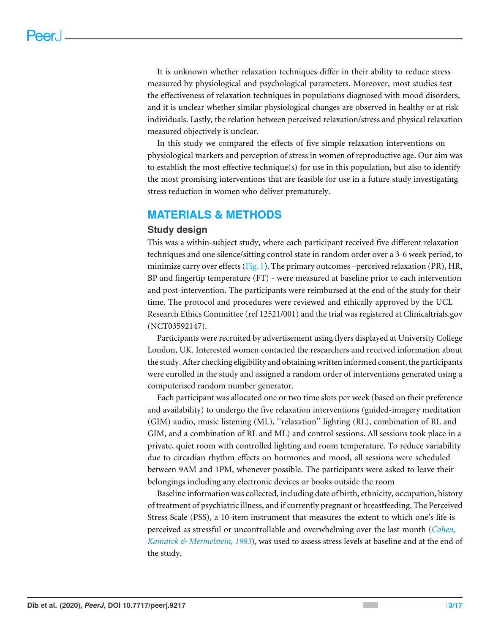It is unknown whether relaxation techniques differ in their ability to reduce stress measured by physiological and psychological parameters. Moreover, most studies test the effectiveness of relaxation techniques in populations diagnosed with mood disorders, and it is unclear whether similar physiological changes are observed in healthy or at risk individuals. Lastly, the relation between perceived relaxation/stress and physical relaxation measured objectively is unclear.

In this study we compared the effects of five simple relaxation interventions on physiological markers and perception of stress in women of reproductive age. Our aim was to establish the most effective technique(s) for use in this population, but also to identify the most promising interventions that are feasible for use in a future study investigating stress reduction in women who deliver prematurely.

# **MATERIALS & METHODS**

#### **Study design**

This was a within-subject study, where each participant received five different relaxation techniques and one silence/sitting control state in random order over a 3-6 week period, to minimize carry over effects [\(Fig. 1\)](#page-3-0). The primary outcomes –perceived relaxation (PR), HR, BP and fingertip temperature (FT) - were measured at baseline prior to each intervention and post-intervention. The participants were reimbursed at the end of the study for their time. The protocol and procedures were reviewed and ethically approved by the UCL Research Ethics Committee (ref 12521/001) and the trial was registered at Clinicaltrials.gov (NCT03592147).

Participants were recruited by advertisement using flyers displayed at University College London, UK. Interested women contacted the researchers and received information about the study. After checking eligibility and obtaining written informed consent, the participants were enrolled in the study and assigned a random order of interventions generated using a computerised random number generator.

Each participant was allocated one or two time slots per week (based on their preference and availability) to undergo the five relaxation interventions (guided-imagery meditation (GIM) audio, music listening (ML), ''relaxation'' lighting (RL), combination of RL and GIM, and a combination of RL and ML) and control sessions. All sessions took place in a private, quiet room with controlled lighting and room temperature. To reduce variability due to circadian rhythm effects on hormones and mood, all sessions were scheduled between 9AM and 1PM, whenever possible. The participants were asked to leave their belongings including any electronic devices or books outside the room

Baseline information was collected, including date of birth, ethnicity, occupation, history of treatment of psychiatric illness, and if currently pregnant or breastfeeding. The Perceived Stress Scale (PSS), a 10-item instrument that measures the extent to which one's life is perceived as stressful or uncontrollable and overwhelming over the last month (*[Cohen,](#page-13-7) [Kamarck & Mermelstein, 1983](#page-13-7)*), was used to assess stress levels at baseline and at the end of the study.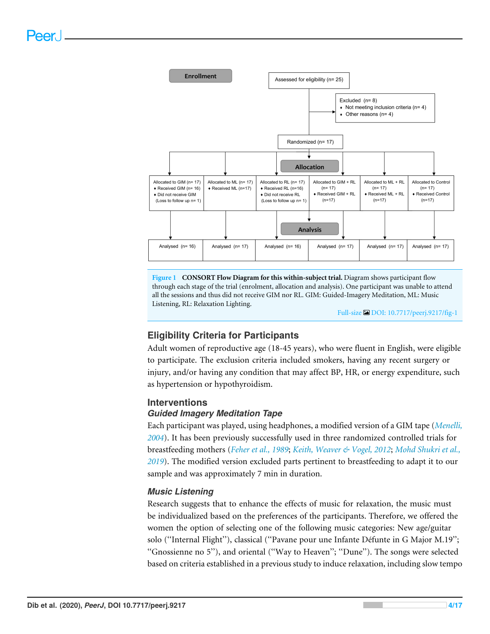<span id="page-3-0"></span>

**Figure 1 CONSORT Flow Diagram for this within-subject trial.** Diagram shows participant flow through each stage of the trial (enrolment, allocation and analysis). One participant was unable to attend all the sessions and thus did not receive GIM nor RL. GIM: Guided-Imagery Meditation, ML: Music Listening, RL: Relaxation Lighting.

Full-size [DOI: 10.7717/peerj.9217/fig-1](https://doi.org/10.7717/peerj.9217/fig-1)

# **Eligibility Criteria for Participants**

Adult women of reproductive age (18-45 years), who were fluent in English, were eligible to participate. The exclusion criteria included smokers, having any recent surgery or injury, and/or having any condition that may affect BP, HR, or energy expenditure, such as hypertension or hypothyroidism.

#### **Interventions**

#### *Guided Imagery Meditation Tape*

Each participant was played, using headphones, a modified version of a GIM tape (*[Menelli,](#page-15-8) [2004](#page-15-8)*). It has been previously successfully used in three randomized controlled trials for breastfeeding mothers (*[Feher et al., 1989](#page-14-7)*; *[Keith, Weaver & Vogel, 2012](#page-14-8)*; *[Mohd Shukri et al.,](#page-15-2) [2019](#page-15-2)*). The modified version excluded parts pertinent to breastfeeding to adapt it to our sample and was approximately 7 min in duration.

#### *Music Listening*

Research suggests that to enhance the effects of music for relaxation, the music must be individualized based on the preferences of the participants. Therefore, we offered the women the option of selecting one of the following music categories: New age/guitar solo (''Internal Flight''), classical (''Pavane pour une Infante Défunte in G Major M.19''; ''Gnossienne no 5''), and oriental (''Way to Heaven''; ''Dune''). The songs were selected based on criteria established in a previous study to induce relaxation, including slow tempo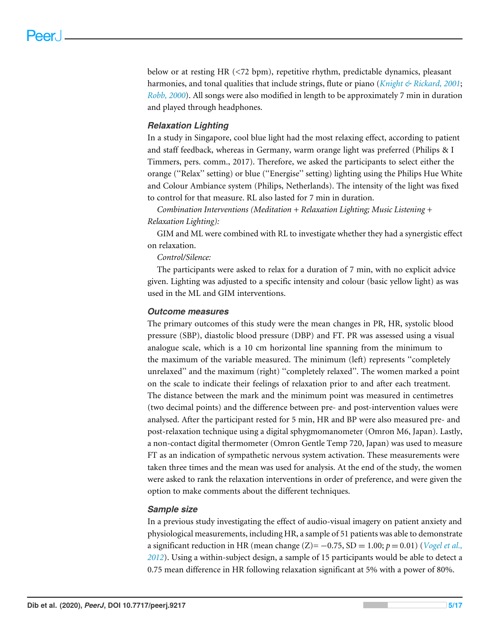below or at resting HR (<72 bpm), repetitive rhythm, predictable dynamics, pleasant harmonies, and tonal qualities that include strings, flute or piano (*[Knight & Rickard,](#page-14-3) [2001](#page-14-3)*; *[Robb, 2000](#page-15-9)*). All songs were also modified in length to be approximately 7 min in duration and played through headphones.

#### *Relaxation Lighting*

In a study in Singapore, cool blue light had the most relaxing effect, according to patient and staff feedback, whereas in Germany, warm orange light was preferred (Philips & I Timmers, pers. comm., 2017). Therefore, we asked the participants to select either the orange (''Relax'' setting) or blue (''Energise'' setting) lighting using the Philips Hue White and Colour Ambiance system (Philips, Netherlands). The intensity of the light was fixed to control for that measure. RL also lasted for 7 min in duration.

*Combination Interventions (Meditation + Relaxation Lighting; Music Listening + Relaxation Lighting):*

GIM and ML were combined with RL to investigate whether they had a synergistic effect on relaxation.

*Control/Silence:*

The participants were asked to relax for a duration of 7 min, with no explicit advice given. Lighting was adjusted to a specific intensity and colour (basic yellow light) as was used in the ML and GIM interventions.

#### *Outcome measures*

The primary outcomes of this study were the mean changes in PR, HR, systolic blood pressure (SBP), diastolic blood pressure (DBP) and FT. PR was assessed using a visual analogue scale, which is a 10 cm horizontal line spanning from the minimum to the maximum of the variable measured. The minimum (left) represents ''completely unrelaxed'' and the maximum (right) ''completely relaxed''. The women marked a point on the scale to indicate their feelings of relaxation prior to and after each treatment. The distance between the mark and the minimum point was measured in centimetres (two decimal points) and the difference between pre- and post-intervention values were analysed. After the participant rested for 5 min, HR and BP were also measured pre- and post-relaxation technique using a digital sphygmomanometer (Omron M6, Japan). Lastly, a non-contact digital thermometer (Omron Gentle Temp 720, Japan) was used to measure FT as an indication of sympathetic nervous system activation. These measurements were taken three times and the mean was used for analysis. At the end of the study, the women were asked to rank the relaxation interventions in order of preference, and were given the option to make comments about the different techniques.

#### *Sample size*

In a previous study investigating the effect of audio-visual imagery on patient anxiety and physiological measurements, including HR, a sample of 51 patients was able to demonstrate a significant reduction in HR (mean change  $(Z) = -0.75$ , SD = 1.00;  $p = 0.01$ ) (*Vogel et al.*, *[2012](#page-16-3)*). Using a within-subject design, a sample of 15 participants would be able to detect a 0.75 mean difference in HR following relaxation significant at 5% with a power of 80%.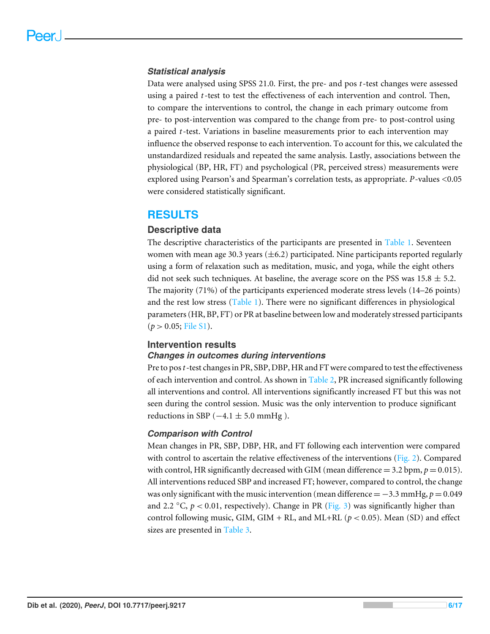#### *Statistical analysis*

Data were analysed using SPSS 21.0. First, the pre- and pos *t*-test changes were assessed using a paired *t*-test to test the effectiveness of each intervention and control. Then, to compare the interventions to control, the change in each primary outcome from pre- to post-intervention was compared to the change from pre- to post-control using a paired *t*-test. Variations in baseline measurements prior to each intervention may influence the observed response to each intervention. To account for this, we calculated the unstandardized residuals and repeated the same analysis. Lastly, associations between the physiological (BP, HR, FT) and psychological (PR, perceived stress) measurements were explored using Pearson's and Spearman's correlation tests, as appropriate. *P*-values <0.05 were considered statistically significant.

### **RESULTS**

#### **Descriptive data**

The descriptive characteristics of the participants are presented in [Table 1.](#page-6-0) Seventeen women with mean age 30.3 years  $(\pm 6.2)$  participated. Nine participants reported regularly using a form of relaxation such as meditation, music, and yoga, while the eight others did not seek such techniques. At baseline, the average score on the PSS was  $15.8 \pm 5.2$ . The majority (71%) of the participants experienced moderate stress levels (14–26 points) and the rest low stress [\(Table 1\)](#page-6-0). There were no significant differences in physiological parameters (HR, BP, FT) or PR at baseline between low and moderately stressed participants  $(p > 0.05;$  [File S1\)](http://dx.doi.org/10.7717/peerj.9217#supp-1).

#### **Intervention results**

#### *Changes in outcomes during interventions*

Pre to pos*t*-test changes in PR, SBP, DBP, HR and FT were compared to test the effectiveness of each intervention and control. As shown in [Table 2,](#page-7-0) PR increased significantly following all interventions and control. All interventions significantly increased FT but this was not seen during the control session. Music was the only intervention to produce significant reductions in SBP  $(-4.1 \pm 5.0 \text{ mmHg})$ .

#### *Comparison with Control*

Mean changes in PR, SBP, DBP, HR, and FT following each intervention were compared with control to ascertain the relative effectiveness of the interventions [\(Fig. 2\)](#page-8-0). Compared with control, HR significantly decreased with GIM (mean difference  $=$  3.2 bpm,  $p = 0.015$ ). All interventions reduced SBP and increased FT; however, compared to control, the change was only significant with the music intervention (mean difference  $=-3.3$  mmHg,  $p = 0.049$ ) and 2.2  $\degree$ C,  $p < 0.01$ , respectively). Change in PR [\(Fig. 3\)](#page-8-1) was significantly higher than control following music, GIM, GIM + RL, and ML+RL ( $p < 0.05$ ). Mean (SD) and effect sizes are presented in [Table 3.](#page-9-0)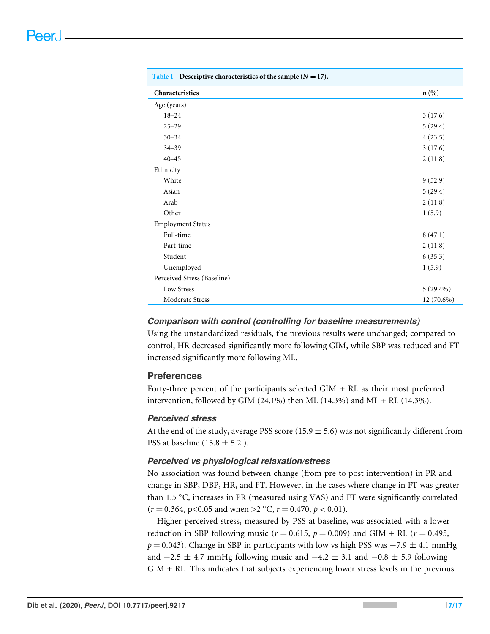<span id="page-6-0"></span>

| Table 1 Descriptive characteristics of the sample $(N = 17)$ . |             |
|----------------------------------------------------------------|-------------|
| Characteristics                                                | n(%)        |
| Age (years)                                                    |             |
| $18 - 24$                                                      | 3(17.6)     |
| $25 - 29$                                                      | 5(29.4)     |
| $30 - 34$                                                      | 4(23.5)     |
| $34 - 39$                                                      | 3(17.6)     |
| $40 - 45$                                                      | 2(11.8)     |
| Ethnicity                                                      |             |
| White                                                          | 9(52.9)     |
| Asian                                                          | 5(29.4)     |
| Arab                                                           | 2(11.8)     |
| Other                                                          | 1(5.9)      |
| <b>Employment Status</b>                                       |             |
| Full-time                                                      | 8(47.1)     |
| Part-time                                                      | 2(11.8)     |
| Student                                                        | 6(35.3)     |
| Unemployed                                                     | 1(5.9)      |
| Perceived Stress (Baseline)                                    |             |
| Low Stress                                                     | $5(29.4\%)$ |
| Moderate Stress                                                | 12 (70.6%)  |

#### *Comparison with control (controlling for baseline measurements)*

Using the unstandardized residuals, the previous results were unchanged; compared to control, HR decreased significantly more following GIM, while SBP was reduced and FT increased significantly more following ML.

#### **Preferences**

Forty-three percent of the participants selected GIM + RL as their most preferred intervention, followed by GIM (24.1%) then ML (14.3%) and ML + RL (14.3%).

#### *Perceived stress*

At the end of the study, average PSS score (15.9  $\pm$  5.6) was not significantly different from PSS at baseline (15.8  $\pm$  5.2).

#### *Perceived vs physiological relaxation/stress*

No association was found between change (from pre to post intervention) in PR and change in SBP, DBP, HR, and FT. However, in the cases where change in FT was greater than 1.5 ◦C, increases in PR (measured using VAS) and FT were significantly correlated  $(r = 0.364, p < 0.05$  and when >2 °C,  $r = 0.470, p < 0.01$ ).

Higher perceived stress, measured by PSS at baseline, was associated with a lower reduction in SBP following music ( $r = 0.615$ ,  $p = 0.009$ ) and GIM + RL ( $r = 0.495$ ,  $p = 0.043$ ). Change in SBP in participants with low vs high PSS was  $-7.9 \pm 4.1$  mmHg and  $-2.5 \pm 4.7$  mmHg following music and  $-4.2 \pm 3.1$  and  $-0.8 \pm 5.9$  following GIM + RL. This indicates that subjects experiencing lower stress levels in the previous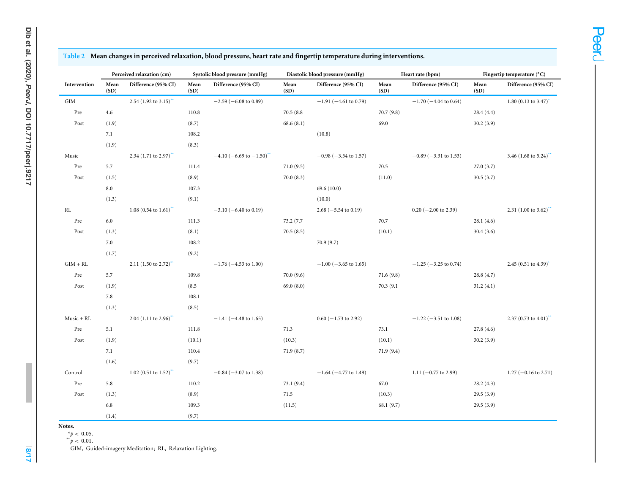|               | Perceived relaxation (cm) |                                     | Systolic blood pressure (mmHg) |                                           | Diastolic blood pressure (mmHg) |                            | Heart rate (bpm) |                            | Fingertip temperature (°C) |                                     |
|---------------|---------------------------|-------------------------------------|--------------------------------|-------------------------------------------|---------------------------------|----------------------------|------------------|----------------------------|----------------------------|-------------------------------------|
| Intervention  | Mean<br>(SD)              | Difference (95% CI)                 | Mean<br>(SD)                   | Difference (95% CI)                       | Mean<br>(SD)                    | Difference (95% CI)        | Mean<br>(SD)     | Difference (95% CI)        | Mean<br>(SD)               | Difference (95% CI)                 |
| GIM           |                           | 2.54 $(1.92 \text{ to } 3.15)$      |                                | $-2.59$ ( $-6.08$ to 0.89)                |                                 | $-1.91$ ( $-4.61$ to 0.79) |                  | $-1.70$ ( $-4.04$ to 0.64) |                            | $1.80(0.13 \text{ to } 3.47)$       |
| Pre           | 4.6                       |                                     | 110.8                          |                                           | 70.5(8.8)                       |                            | 70.7(9.8)        |                            | 28.4(4.4)                  |                                     |
| Post          | (1.9)                     |                                     | (8.7)                          |                                           | 68.6(8.1)                       |                            | 69.0             |                            | 30.2(3.9)                  |                                     |
|               | 7.1                       |                                     | 108.2                          |                                           |                                 | (10.8)                     |                  |                            |                            |                                     |
|               | (1.9)                     |                                     | (8.3)                          |                                           |                                 |                            |                  |                            |                            |                                     |
| Music         |                           | 2.34 $(1.71 \text{ to } 2.97)$      |                                | $-4.10$ (-6.69 to $-1.50$ ) <sup>**</sup> |                                 | $-0.98$ ( $-3.54$ to 1.57) |                  | $-0.89$ ( $-3.31$ to 1.53) |                            | 3.46 (1.68 to 5.24)**               |
| Pre           | 5.7                       |                                     | 111.4                          |                                           | 71.0(9.5)                       |                            | 70.5             |                            | 27.0(3.7)                  |                                     |
| Post          | (1.5)                     |                                     | (8.9)                          |                                           | 70.0(8.3)                       |                            | (11.0)           |                            | 30.5(3.7)                  |                                     |
|               | 8.0                       |                                     | 107.3                          |                                           |                                 | 69.6(10.0)                 |                  |                            |                            |                                     |
|               | (1.3)                     |                                     | (9.1)                          |                                           |                                 | (10.0)                     |                  |                            |                            |                                     |
| $\mathbf{RL}$ |                           | 1.08 $(0.54 \text{ to } 1.61)^{44}$ |                                | $-3.10$ ( $-6.40$ to 0.19)                |                                 | $2.68 (-5.54 to 0.19)$     |                  | $0.20$ (-2.00 to 2.39)     |                            | 2.31 $(1.00 \text{ to } 3.62)^{44}$ |
| Pre           | 6.0                       |                                     | 111.3                          |                                           | 73.2 (7.7)                      |                            | 70.7             |                            | 28.1(4.6)                  |                                     |
| Post          | (1.3)                     |                                     | (8.1)                          |                                           | 70.5(8.5)                       |                            | (10.1)           |                            | 30.4(3.6)                  |                                     |
|               | 7.0                       |                                     | 108.2                          |                                           |                                 | 70.9(9.7)                  |                  |                            |                            |                                     |
|               | (1.7)                     |                                     | (9.2)                          |                                           |                                 |                            |                  |                            |                            |                                     |
| $GIM + RL$    |                           | 2.11 $(1.50 \text{ to } 2.72)^{4}$  |                                | $-1.76$ ( $-4.53$ to 1.00)                |                                 | $-1.00$ ( $-3.65$ to 1.65) |                  | $-1.25$ ( $-3.25$ to 0.74) |                            | 2.45 $(0.51$ to 4.39) <sup>*</sup>  |
| Pre           | 5.7                       |                                     | 109.8                          |                                           | 70.0(9.6)                       |                            | 71.6(9.8)        |                            | 28.8(4.7)                  |                                     |
| Post          | (1.9)                     |                                     | (8.5)                          |                                           | 69.0(8.0)                       |                            | 70.3 (9.1)       |                            | 31.2(4.1)                  |                                     |
|               | 7.8                       |                                     | 108.1                          |                                           |                                 |                            |                  |                            |                            |                                     |
|               | (1.3)                     |                                     | (8.5)                          |                                           |                                 |                            |                  |                            |                            |                                     |
| $Music + RL$  |                           | 2.04 $(1.11 \text{ to } 2.96)^{44}$ |                                | $-1.41$ ( $-4.48$ to 1.65)                |                                 | $0.60$ (-1.73 to 2.92)     |                  | $-1.22$ ( $-3.51$ to 1.08) |                            | 2.37 (0.73 to 4.01)**               |
| Pre           | 5.1                       |                                     | 111.8                          |                                           | 71.3                            |                            | 73.1             |                            | 27.8(4.6)                  |                                     |
| Post          | (1.9)                     |                                     | (10.1)                         |                                           | (10.3)                          |                            | (10.1)           |                            | 30.2(3.9)                  |                                     |
|               | 7.1                       |                                     | 110.4                          |                                           | 71.9(8.7)                       |                            | 71.9(9.4)        |                            |                            |                                     |
|               | (1.6)                     |                                     | (9.7)                          |                                           |                                 |                            |                  |                            |                            |                                     |
| Control       |                           | 1.02 (0.51 to 1.52) <sup>**</sup>   |                                | $-0.84$ ( $-3.07$ to 1.38)                |                                 | $-1.64$ ( $-4.77$ to 1.49) |                  | 1.11 $(-0.77$ to 2.99)     |                            | $1.27 (-0.16 \text{ to } 2.71)$     |
| Pre           | 5.8                       |                                     | 110.2                          |                                           | 73.1 (9.4)                      |                            | 67.0             |                            | 28.2(4.3)                  |                                     |
| Post          | (1.3)                     |                                     | (8.9)                          |                                           | 71.5                            |                            | (10.3)           |                            | 29.5(3.9)                  |                                     |
|               | 6.8                       |                                     | 109.3                          |                                           | (11.5)                          |                            | 68.1(9.7)        |                            | 29.5(3.9)                  |                                     |
|               | (1.4)                     |                                     | (9.7)                          |                                           |                                 |                            |                  |                            |                            |                                     |

#### <span id="page-7-0"></span><mark>Table 2</mark> Mean changes in perceived relaxation, blood pressure, heart rate and fingertip temperature during interventions.

**Notes.**

**8/17**

 $*^*p < 0.05$ .<br>  $p < 0.01$ .

<span id="page-7-2"></span><span id="page-7-1"></span>GIM, Guided-imagery Meditation; RL, Relaxation Lighting.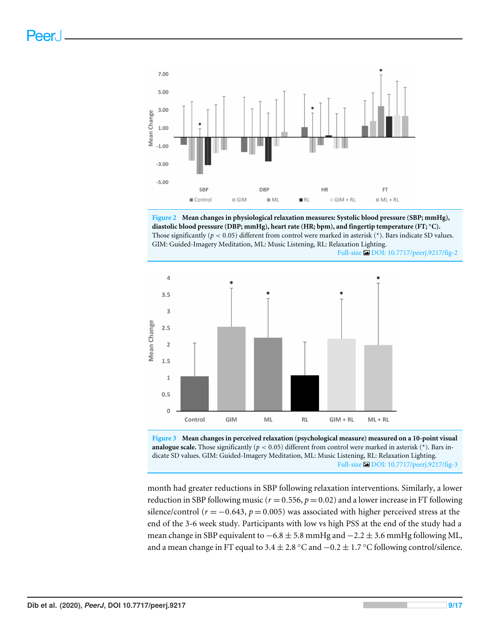<span id="page-8-0"></span>

**Figure 2 Mean changes in physiological relaxation measures: Systolic blood pressure (SBP; mmHg), diastolic blood pressure (DBP; mmHg), heart rate (HR; bpm), and fingertip temperature (FT;** ◦**C).** Those significantly ( $p < 0.05$ ) different from control were marked in asterisk (\*). Bars indicate SD values. GIM: Guided-Imagery Meditation, ML: Music Listening, RL: Relaxation Lighting.



<span id="page-8-1"></span>



month had greater reductions in SBP following relaxation interventions. Similarly, a lower reduction in SBP following music ( $r = 0.556$ ,  $p = 0.02$ ) and a lower increase in FT following silence/control ( $r = -0.643$ ,  $p = 0.005$ ) was associated with higher perceived stress at the end of the 3-6 week study. Participants with low vs high PSS at the end of the study had a mean change in SBP equivalent to  $-6.8 \pm 5.8$  mmHg and  $-2.2 \pm 3.6$  mmHg following ML, and a mean change in FT equal to 3.4  $\pm$  2.8 °C and  $-0.2 \pm 1.7$  °C following control/silence.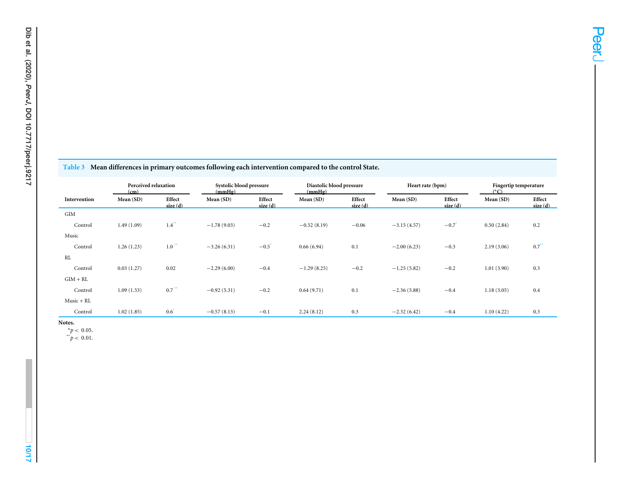<span id="page-9-0"></span>

|  |  |  | Table 3 Mean differences in primary outcomes following each intervention compared to the control State. |  |  |  |
|--|--|--|---------------------------------------------------------------------------------------------------------|--|--|--|
|--|--|--|---------------------------------------------------------------------------------------------------------|--|--|--|

|              | Perceived relaxation<br>(cm) |                     | Systolic blood pressure<br>(mmHg) |                   | Diastolic blood pressure<br>(mmHg) |                   | Heart rate (bpm) |                   | Fingertip temperature<br>$(^{\circ}C)$ |                   |
|--------------|------------------------------|---------------------|-----------------------------------|-------------------|------------------------------------|-------------------|------------------|-------------------|----------------------------------------|-------------------|
| Intervention | Mean (SD)                    | Effect<br>size(d)   | Mean (SD)                         | Effect<br>size(d) | Mean (SD)                          | Effect<br>size(d) | Mean (SD)        | Effect<br>size(d) | Mean (SD)                              | Effect<br>size(d) |
| GIM          |                              |                     |                                   |                   |                                    |                   |                  |                   |                                        |                   |
| Control      | 1.49(1.09)                   | $1.4^{*}$           | $-1.78(9.03)$                     | $-0.2$            | $-0.52(8.19)$                      | $-0.06$           | $-3.15(4.57)$    | $-0.7$            | 0.50(2.84)                             | 0.2               |
| Music        |                              |                     |                                   |                   |                                    |                   |                  |                   |                                        |                   |
| Control      | 1.26(1.23)                   | $1.0***$            | $-3.26(6.31)$                     | $-0.5$            | 0.66(6.94)                         | 0.1               | $-2.00(6.23)$    | $-0.3$            | 2.19(3.06)                             | $0.7***$          |
| <b>RL</b>    |                              |                     |                                   |                   |                                    |                   |                  |                   |                                        |                   |
| Control      | 0.03(1.27)                   | 0.02                | $-2.29(6.00)$                     | $-0.4$            | $-1.29(8.25)$                      | $-0.2$            | $-1.25(5.82)$    | $-0.2$            | 1.01(3.90)                             | 0.3               |
| $GIM + RL$   |                              |                     |                                   |                   |                                    |                   |                  |                   |                                        |                   |
| Control      | 1.09(1.53)                   | $0.7$ <sup>**</sup> | $-0.92(5.31)$                     | $-0.2$            | 0.64(9.71)                         | 0.1               | $-2.36(5.88)$    | $-0.4$            | 1.18(3.05)                             | 0.4               |
| Music + RL   |                              |                     |                                   |                   |                                    |                   |                  |                   |                                        |                   |
| Control      | 1.02(1.85)                   | 0.6                 | $-0.57(8.13)$                     | $-0.1$            | 2.24(8.12)                         | 0.3               | $-2.32(6.42)$    | $-0.4$            | 1.10(4.22)                             | 0.3               |

<span id="page-9-2"></span>**Notes.**

**10/17**

<span id="page-9-1"></span> $*^{p} < 0.05$ .<br>  $p < 0.01$ .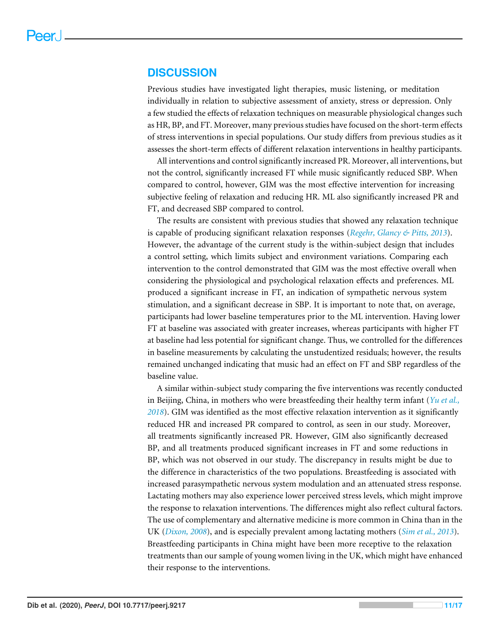#### **DISCUSSION**

Previous studies have investigated light therapies, music listening, or meditation individually in relation to subjective assessment of anxiety, stress or depression. Only a few studied the effects of relaxation techniques on measurable physiological changes such as HR, BP, and FT. Moreover, many previous studies have focused on the short-term effects of stress interventions in special populations. Our study differs from previous studies as it assesses the short-term effects of different relaxation interventions in healthy participants.

All interventions and control significantly increased PR. Moreover, all interventions, but not the control, significantly increased FT while music significantly reduced SBP. When compared to control, however, GIM was the most effective intervention for increasing subjective feeling of relaxation and reducing HR. ML also significantly increased PR and FT, and decreased SBP compared to control.

The results are consistent with previous studies that showed any relaxation technique is capable of producing significant relaxation responses (*[Regehr, Glancy & Pitts, 2013](#page-15-10)*). However, the advantage of the current study is the within-subject design that includes a control setting, which limits subject and environment variations. Comparing each intervention to the control demonstrated that GIM was the most effective overall when considering the physiological and psychological relaxation effects and preferences. ML produced a significant increase in FT, an indication of sympathetic nervous system stimulation, and a significant decrease in SBP. It is important to note that, on average, participants had lower baseline temperatures prior to the ML intervention. Having lower FT at baseline was associated with greater increases, whereas participants with higher FT at baseline had less potential for significant change. Thus, we controlled for the differences in baseline measurements by calculating the unstudentized residuals; however, the results remained unchanged indicating that music had an effect on FT and SBP regardless of the baseline value.

A similar within-subject study comparing the five interventions was recently conducted in Beijing, China, in mothers who were breastfeeding their healthy term infant (*[Yu et al.,](#page-16-4) [2018](#page-16-4)*). GIM was identified as the most effective relaxation intervention as it significantly reduced HR and increased PR compared to control, as seen in our study. Moreover, all treatments significantly increased PR. However, GIM also significantly decreased BP, and all treatments produced significant increases in FT and some reductions in BP, which was not observed in our study. The discrepancy in results might be due to the difference in characteristics of the two populations. Breastfeeding is associated with increased parasympathetic nervous system modulation and an attenuated stress response. Lactating mothers may also experience lower perceived stress levels, which might improve the response to relaxation interventions. The differences might also reflect cultural factors. The use of complementary and alternative medicine is more common in China than in the UK (*[Dixon, 2008](#page-13-8)*), and is especially prevalent among lactating mothers (*[Sim et al., 2013](#page-15-11)*). Breastfeeding participants in China might have been more receptive to the relaxation treatments than our sample of young women living in the UK, which might have enhanced their response to the interventions.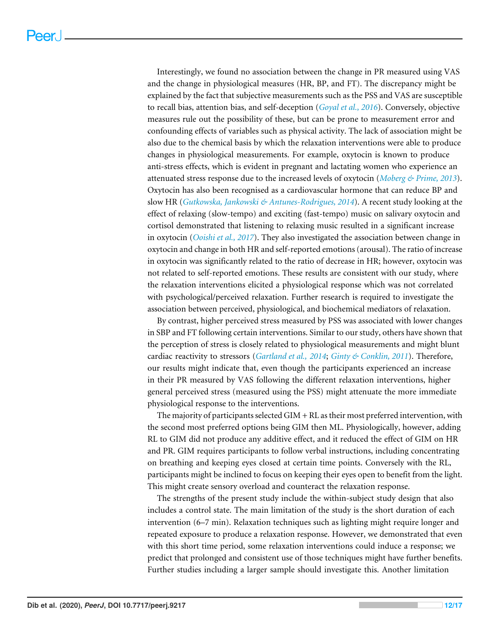Interestingly, we found no association between the change in PR measured using VAS and the change in physiological measures (HR, BP, and FT). The discrepancy might be explained by the fact that subjective measurements such as the PSS and VAS are susceptible to recall bias, attention bias, and self-deception (*[Goyal et al., 2016](#page-14-9)*). Conversely, objective measures rule out the possibility of these, but can be prone to measurement error and confounding effects of variables such as physical activity. The lack of association might be also due to the chemical basis by which the relaxation interventions were able to produce changes in physiological measurements. For example, oxytocin is known to produce anti-stress effects, which is evident in pregnant and lactating women who experience an attenuated stress response due to the increased levels of oxytocin (*[Moberg & Prime, 2013](#page-15-12)*). Oxytocin has also been recognised as a cardiovascular hormone that can reduce BP and slow HR (*[Gutkowska, Jankowski & Antunes-Rodrigues, 2014](#page-14-10)*). A recent study looking at the effect of relaxing (slow-tempo) and exciting (fast-tempo) music on salivary oxytocin and cortisol demonstrated that listening to relaxing music resulted in a significant increase in oxytocin (*[Ooishi et al., 2017](#page-15-13)*). They also investigated the association between change in oxytocin and change in both HR and self-reported emotions (arousal). The ratio of increase in oxytocin was significantly related to the ratio of decrease in HR; however, oxytocin was not related to self-reported emotions. These results are consistent with our study, where the relaxation interventions elicited a physiological response which was not correlated with psychological/perceived relaxation. Further research is required to investigate the association between perceived, physiological, and biochemical mediators of relaxation.

By contrast, higher perceived stress measured by PSS was associated with lower changes in SBP and FT following certain interventions. Similar to our study, others have shown that the perception of stress is closely related to physiological measurements and might blunt cardiac reactivity to stressors (*[Gartland et al.,](#page-14-11) [2014](#page-14-11)*; *[Ginty & Conklin, 2011](#page-14-12)*). Therefore, our results might indicate that, even though the participants experienced an increase in their PR measured by VAS following the different relaxation interventions, higher general perceived stress (measured using the PSS) might attenuate the more immediate physiological response to the interventions.

The majority of participants selected GIM + RL as their most preferred intervention, with the second most preferred options being GIM then ML. Physiologically, however, adding RL to GIM did not produce any additive effect, and it reduced the effect of GIM on HR and PR. GIM requires participants to follow verbal instructions, including concentrating on breathing and keeping eyes closed at certain time points. Conversely with the RL, participants might be inclined to focus on keeping their eyes open to benefit from the light. This might create sensory overload and counteract the relaxation response.

The strengths of the present study include the within-subject study design that also includes a control state. The main limitation of the study is the short duration of each intervention (6–7 min). Relaxation techniques such as lighting might require longer and repeated exposure to produce a relaxation response. However, we demonstrated that even with this short time period, some relaxation interventions could induce a response; we predict that prolonged and consistent use of those techniques might have further benefits. Further studies including a larger sample should investigate this. Another limitation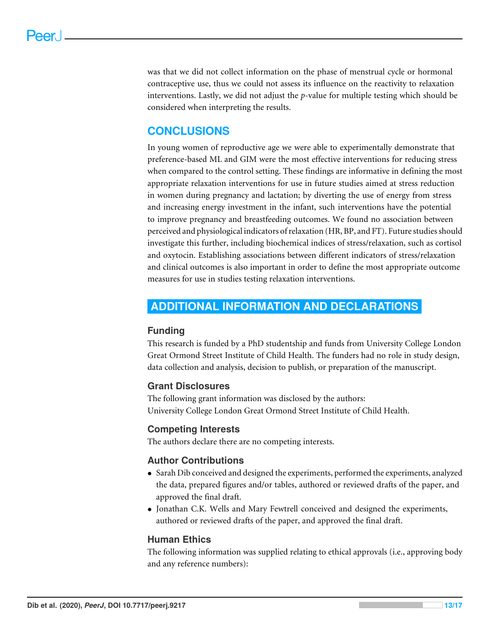was that we did not collect information on the phase of menstrual cycle or hormonal contraceptive use, thus we could not assess its influence on the reactivity to relaxation interventions. Lastly, we did not adjust the *p*-value for multiple testing which should be considered when interpreting the results.

# **CONCLUSIONS**

In young women of reproductive age we were able to experimentally demonstrate that preference-based ML and GIM were the most effective interventions for reducing stress when compared to the control setting. These findings are informative in defining the most appropriate relaxation interventions for use in future studies aimed at stress reduction in women during pregnancy and lactation; by diverting the use of energy from stress and increasing energy investment in the infant, such interventions have the potential to improve pregnancy and breastfeeding outcomes. We found no association between perceived and physiological indicators of relaxation (HR, BP, and FT). Future studies should investigate this further, including biochemical indices of stress/relaxation, such as cortisol and oxytocin. Establishing associations between different indicators of stress/relaxation and clinical outcomes is also important in order to define the most appropriate outcome measures for use in studies testing relaxation interventions.

# <span id="page-12-0"></span>**ADDITIONAL INFORMATION AND DECLARATIONS**

#### **Funding**

This research is funded by a PhD studentship and funds from University College London Great Ormond Street Institute of Child Health. The funders had no role in study design, data collection and analysis, decision to publish, or preparation of the manuscript.

#### **Grant Disclosures**

The following grant information was disclosed by the authors: University College London Great Ormond Street Institute of Child Health.

#### **Competing Interests**

The authors declare there are no competing interests.

#### **Author Contributions**

- [Sarah Dib](#page-0-0) conceived and designed the experiments, performed the experiments, analyzed the data, prepared figures and/or tables, authored or reviewed drafts of the paper, and approved the final draft.
- [Jonathan C.K. Wells](#page-0-1) and [Mary Fewtrell](#page-0-2) conceived and designed the experiments, authored or reviewed drafts of the paper, and approved the final draft.

#### **Human Ethics**

The following information was supplied relating to ethical approvals (i.e., approving body and any reference numbers):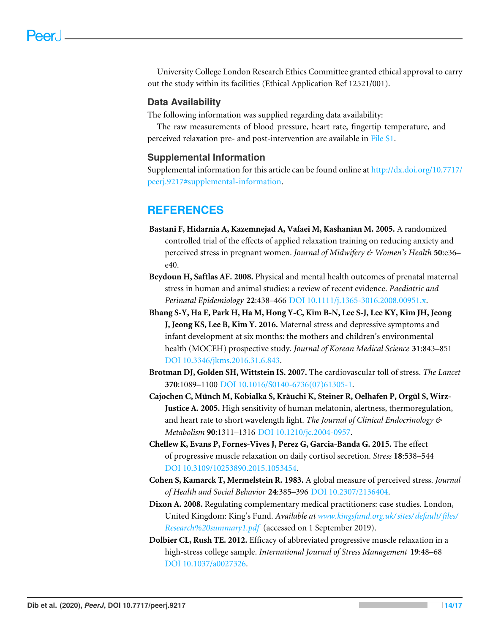University College London Research Ethics Committee granted ethical approval to carry out the study within its facilities (Ethical Application Ref 12521/001).

#### **Data Availability**

The following information was supplied regarding data availability:

The raw measurements of blood pressure, heart rate, fingertip temperature, and perceived relaxation pre- and post-intervention are available in [File S1.](http://dx.doi.org/10.7717/peerj.9217#supp-1)

#### **Supplemental Information**

Supplemental information for this article can be found online at [http://dx.doi.org/10.7717/](http://dx.doi.org/10.7717/peerj.9217#supplemental-information) [peerj.9217#supplemental-information.](http://dx.doi.org/10.7717/peerj.9217#supplemental-information)

# **REFERENCES**

- <span id="page-13-3"></span>**Bastani F, Hidarnia A, Kazemnejad A, Vafaei M, Kashanian M. 2005.** A randomized controlled trial of the effects of applied relaxation training on reducing anxiety and perceived stress in pregnant women. *Journal of Midwifery & Women's Health* **50**:e36– e40.
- <span id="page-13-1"></span>**Beydoun H, Saftlas AF. 2008.** Physical and mental health outcomes of prenatal maternal stress in human and animal studies: a review of recent evidence. *Paediatric and Perinatal Epidemiology* **22**:438–466 [DOI 10.1111/j.1365-3016.2008.00951.x.](http://dx.doi.org/10.1111/j.1365-3016.2008.00951.x)
- <span id="page-13-2"></span>**Bhang S-Y, Ha E, Park H, Ha M, Hong Y-C, Kim B-N, Lee S-J, Lee KY, Kim JH, Jeong J, Jeong KS, Lee B, Kim Y. 2016.** Maternal stress and depressive symptoms and infant development at six months: the mothers and children's environmental health (MOCEH) prospective study. *Journal of Korean Medical Science* **31**:843–851 [DOI 10.3346/jkms.2016.31.6.843.](http://dx.doi.org/10.3346/jkms.2016.31.6.843)
- <span id="page-13-0"></span>**Brotman DJ, Golden SH, Wittstein IS. 2007.** The cardiovascular toll of stress. *The Lancet* **370**:1089–1100 [DOI 10.1016/S0140-6736\(07\)61305-1.](http://dx.doi.org/10.1016/S0140-6736(07)61305-1)
- <span id="page-13-6"></span>**Cajochen C, Münch M, Kobialka S, Kräuchi K, Steiner R, Oelhafen P, Orgül S, Wirz-Justice A. 2005.** High sensitivity of human melatonin, alertness, thermoregulation, and heart rate to short wavelength light. *The Journal of Clinical Endocrinology & Metabolism* **90**:1311–1316 [DOI 10.1210/jc.2004-0957.](http://dx.doi.org/10.1210/jc.2004-0957)
- <span id="page-13-4"></span>**Chellew K, Evans P, Fornes-Vives J, Perez G, Garcia-Banda G. 2015.** The effect of progressive muscle relaxation on daily cortisol secretion. *Stress* **18**:538–544 [DOI 10.3109/10253890.2015.1053454.](http://dx.doi.org/10.3109/10253890.2015.1053454)
- <span id="page-13-7"></span>**Cohen S, Kamarck T, Mermelstein R. 1983.** A global measure of perceived stress. *Journal of Health and Social Behavior* **24**:385–396 [DOI 10.2307/2136404.](http://dx.doi.org/10.2307/2136404)
- <span id="page-13-8"></span>**Dixon A. 2008.** Regulating complementary medical practitioners: case studies. London, United Kingdom: King's Fund. *Available at [www.kingsfund.org.uk/ sites/default/files/](www.kingsfund.org.uk/sites/default/files/Research%20summary1.pdf) [Research%20summary1.pdf](www.kingsfund.org.uk/sites/default/files/Research%20summary1.pdf)* (accessed on 1 September 2019).
- <span id="page-13-5"></span>**Dolbier CL, Rush TE. 2012.** Efficacy of abbreviated progressive muscle relaxation in a high-stress college sample. *International Journal of Stress Management* **19**:48–68 [DOI 10.1037/a0027326.](http://dx.doi.org/10.1037/a0027326)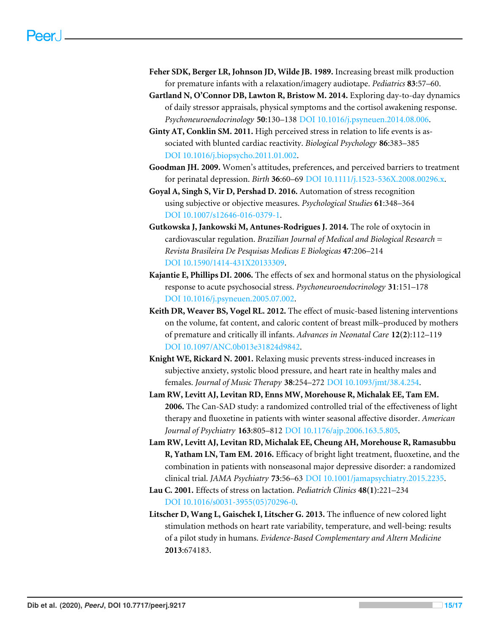- <span id="page-14-7"></span>**Feher SDK, Berger LR, Johnson JD, Wilde JB. 1989.** Increasing breast milk production for premature infants with a relaxation/imagery audiotape. *Pediatrics* **83**:57–60.
- <span id="page-14-11"></span>**Gartland N, O'Connor DB, Lawton R, Bristow M. 2014.** Exploring day-to-day dynamics of daily stressor appraisals, physical symptoms and the cortisol awakening response. *Psychoneuroendocrinology* **50**:130–138 [DOI 10.1016/j.psyneuen.2014.08.006.](http://dx.doi.org/10.1016/j.psyneuen.2014.08.006)
- <span id="page-14-12"></span>**Ginty AT, Conklin SM. 2011.** High perceived stress in relation to life events is associated with blunted cardiac reactivity. *Biological Psychology* **86**:383–385 [DOI 10.1016/j.biopsycho.2011.01.002.](http://dx.doi.org/10.1016/j.biopsycho.2011.01.002)
- <span id="page-14-2"></span>**Goodman JH. 2009.** Women's attitudes, preferences, and perceived barriers to treatment for perinatal depression. *Birth* **36**:60–69 [DOI 10.1111/j.1523-536X.2008.00296.x.](http://dx.doi.org/10.1111/j.1523-536X.2008.00296.x)
- <span id="page-14-9"></span>**Goyal A, Singh S, Vir D, Pershad D. 2016.** Automation of stress recognition using subjective or objective measures. *Psychological Studies* **61**:348–364 [DOI 10.1007/s12646-016-0379-1.](http://dx.doi.org/10.1007/s12646-016-0379-1)
- <span id="page-14-10"></span>**Gutkowska J, Jankowski M, Antunes-Rodrigues J. 2014.** The role of oxytocin in cardiovascular regulation. *Brazilian Journal of Medical and Biological Research = Revista Brasileira De Pesquisas Medicas E Biologicas* **47**:206–214 [DOI 10.1590/1414-431X20133309.](http://dx.doi.org/10.1590/1414-431X20133309)
- <span id="page-14-0"></span>**Kajantie E, Phillips DI. 2006.** The effects of sex and hormonal status on the physiological response to acute psychosocial stress. *Psychoneuroendocrinology* **31**:151–178 [DOI 10.1016/j.psyneuen.2005.07.002.](http://dx.doi.org/10.1016/j.psyneuen.2005.07.002)
- <span id="page-14-8"></span>**Keith DR, Weaver BS, Vogel RL. 2012.** The effect of music-based listening interventions on the volume, fat content, and caloric content of breast milk–produced by mothers of premature and critically ill infants. *Advances in Neonatal Care* **12(2)**:112–119 [DOI 10.1097/ANC.0b013e31824d9842.](http://dx.doi.org/10.1097/ANC.0b013e31824d9842)
- <span id="page-14-3"></span>**Knight WE, Rickard N. 2001.** Relaxing music prevents stress-induced increases in subjective anxiety, systolic blood pressure, and heart rate in healthy males and females. *Journal of Music Therapy* **38**:254–272 [DOI 10.1093/jmt/38.4.254.](http://dx.doi.org/10.1093/jmt/38.4.254)
- <span id="page-14-5"></span>**Lam RW, Levitt AJ, Levitan RD, Enns MW, Morehouse R, Michalak EE, Tam EM. 2006.** The Can-SAD study: a randomized controlled trial of the effectiveness of light therapy and fluoxetine in patients with winter seasonal affective disorder. *American Journal of Psychiatry* **163**:805–812 [DOI 10.1176/ajp.2006.163.5.805.](http://dx.doi.org/10.1176/ajp.2006.163.5.805)
- <span id="page-14-6"></span>**Lam RW, Levitt AJ, Levitan RD, Michalak EE, Cheung AH, Morehouse R, Ramasubbu R, Yatham LN, Tam EM. 2016.** Efficacy of bright light treatment, fluoxetine, and the combination in patients with nonseasonal major depressive disorder: a randomized clinical trial. *JAMA Psychiatry* **73**:56–63 [DOI 10.1001/jamapsychiatry.2015.2235.](http://dx.doi.org/10.1001/jamapsychiatry.2015.2235)
- <span id="page-14-1"></span>**Lau C. 2001.** Effects of stress on lactation. *Pediatrich Clinics* **48(1)**:221–234 [DOI 10.1016/s0031-3955\(05\)70296-0.](http://dx.doi.org/10.1016/s0031-3955(05)70296-0)
- <span id="page-14-4"></span>**Litscher D, Wang L, Gaischek I, Litscher G. 2013.** The influence of new colored light stimulation methods on heart rate variability, temperature, and well-being: results of a pilot study in humans. *Evidence-Based Complementary and Altern Medicine* **2013**:674183.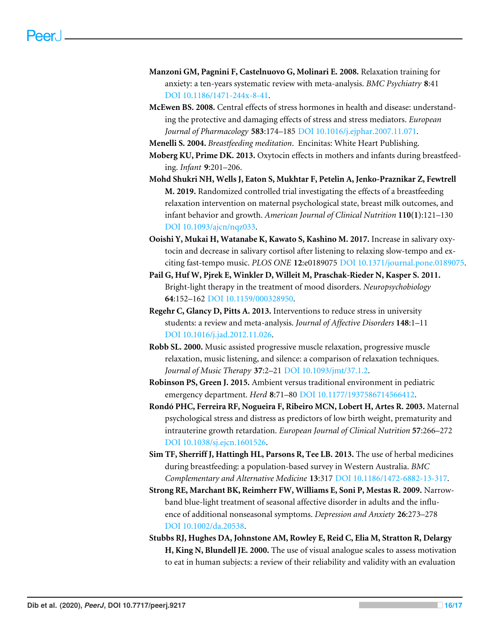- <span id="page-15-3"></span>**Manzoni GM, Pagnini F, Castelnuovo G, Molinari E. 2008.** Relaxation training for anxiety: a ten-years systematic review with meta-analysis. *BMC Psychiatry* **8**:41 [DOI 10.1186/1471-244x-8-41.](http://dx.doi.org/10.1186/1471-244x-8-41)
- <span id="page-15-0"></span>**McEwen BS. 2008.** Central effects of stress hormones in health and disease: understanding the protective and damaging effects of stress and stress mediators. *European Journal of Pharmacology* **583**:174–185 [DOI 10.1016/j.ejphar.2007.11.071.](http://dx.doi.org/10.1016/j.ejphar.2007.11.071)

<span id="page-15-8"></span>**Menelli S. 2004.** *Breastfeeding meditation*. Encinitas: White Heart Publishing.

- <span id="page-15-12"></span>**Moberg KU, Prime DK. 2013.** Oxytocin effects in mothers and infants during breastfeeding. *Infant* **9**:201–206.
- <span id="page-15-2"></span>**Mohd Shukri NH, Wells J, Eaton S, Mukhtar F, Petelin A, Jenko-Praznikar Z, Fewtrell M. 2019.** Randomized controlled trial investigating the effects of a breastfeeding relaxation intervention on maternal psychological state, breast milk outcomes, and infant behavior and growth. *American Journal of Clinical Nutrition* **110(1)**:121–130 [DOI 10.1093/ajcn/nqz033.](http://dx.doi.org/10.1093/ajcn/nqz033)
- <span id="page-15-13"></span>**Ooishi Y, Mukai H, Watanabe K, Kawato S, Kashino M. 2017.** Increase in salivary oxytocin and decrease in salivary cortisol after listening to relaxing slow-tempo and exciting fast-tempo music. *PLOS ONE* **12**:e0189075 [DOI 10.1371/journal.pone.0189075.](http://dx.doi.org/10.1371/journal.pone.0189075)
- <span id="page-15-4"></span>**Pail G, Huf W, Pjrek E, Winkler D, Willeit M, Praschak-Rieder N, Kasper S. 2011.** Bright-light therapy in the treatment of mood disorders. *Neuropsychobiology* **64**:152–162 [DOI 10.1159/000328950.](http://dx.doi.org/10.1159/000328950)
- <span id="page-15-10"></span>**Regehr C, Glancy D, Pitts A. 2013.** Interventions to reduce stress in university students: a review and meta-analysis. *Journal of Affective Disorders* **148**:1–11 [DOI 10.1016/j.jad.2012.11.026.](http://dx.doi.org/10.1016/j.jad.2012.11.026)
- <span id="page-15-9"></span>**Robb SL. 2000.** Music assisted progressive muscle relaxation, progressive muscle relaxation, music listening, and silence: a comparison of relaxation techniques. *Journal of Music Therapy* **37**:2–21 [DOI 10.1093/jmt/37.1.2.](http://dx.doi.org/10.1093/jmt/37.1.2)
- <span id="page-15-6"></span>**Robinson PS, Green J. 2015.** Ambient versus traditional environment in pediatric emergency department. *Herd* **8**:71–80 [DOI 10.1177/1937586714566412.](http://dx.doi.org/10.1177/1937586714566412)
- <span id="page-15-1"></span>**Rondó PHC, Ferreira RF, Nogueira F, Ribeiro MCN, Lobert H, Artes R. 2003.** Maternal psychological stress and distress as predictors of low birth weight, prematurity and intrauterine growth retardation. *European Journal of Clinical Nutrition* **57**:266–272 [DOI 10.1038/sj.ejcn.1601526.](http://dx.doi.org/10.1038/sj.ejcn.1601526)
- <span id="page-15-11"></span>**Sim TF, Sherriff J, Hattingh HL, Parsons R, Tee LB. 2013.** The use of herbal medicines during breastfeeding: a population-based survey in Western Australia. *BMC Complementary and Alternative Medicine* **13**:317 [DOI 10.1186/1472-6882-13-317.](http://dx.doi.org/10.1186/1472-6882-13-317)
- <span id="page-15-5"></span>**Strong RE, Marchant BK, Reimherr FW, Williams E, Soni P, Mestas R. 2009.** Narrowband blue-light treatment of seasonal affective disorder in adults and the influence of additional nonseasonal symptoms. *Depression and Anxiety* **26**:273–278 [DOI 10.1002/da.20538.](http://dx.doi.org/10.1002/da.20538)
- <span id="page-15-7"></span>**Stubbs RJ, Hughes DA, Johnstone AM, Rowley E, Reid C, Elia M, Stratton R, Delargy H, King N, Blundell JE. 2000.** The use of visual analogue scales to assess motivation to eat in human subjects: a review of their reliability and validity with an evaluation